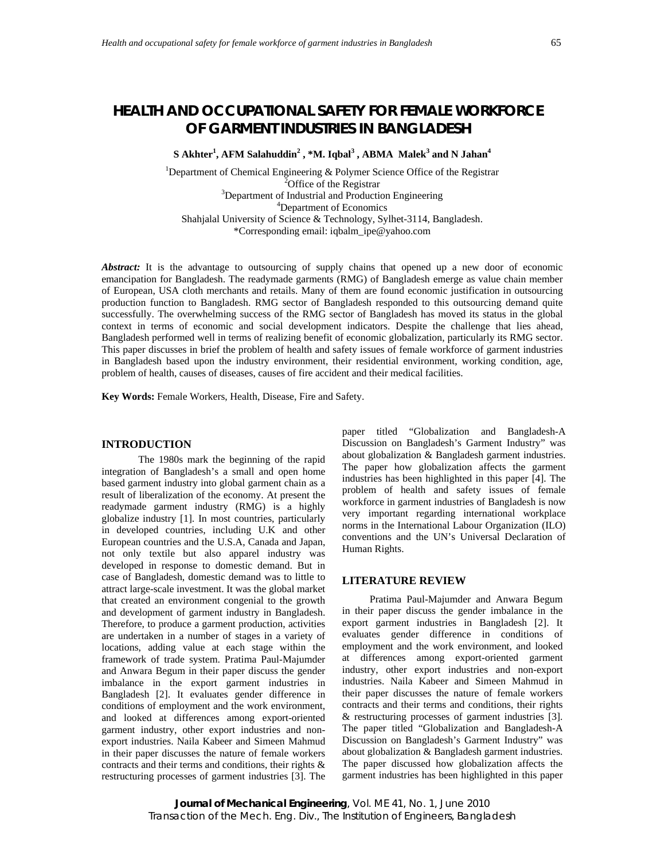# **HEALTH AND OCCUPATIONAL SAFETY FOR FEMALE WORKFORCE OF GARMENT INDUSTRIES IN BANGLADESH**

 $S$  Akhter<sup>1</sup>, AFM Salahuddin<sup>2</sup>, \*M. Iqbal<sup>3</sup>, ABMA Malek<sup>3</sup> and N Jahan<sup>4</sup>

<sup>1</sup>Department of Chemical Engineering & Polymer Science Office of the Registrar  $^{2}$ Office of the Registrar<br> $^{3}$ Denertment of Industrial and Production Department of Industrial and Production Engineering 4 Department of Economics Shahjalal University of Science & Technology, Sylhet-3114, Bangladesh. \*Corresponding email: iqbalm\_ipe@yahoo.com

Abstract: It is the advantage to outsourcing of supply chains that opened up a new door of economic emancipation for Bangladesh. The readymade garments (RMG) of Bangladesh emerge as value chain member of European, USA cloth merchants and retails. Many of them are found economic justification in outsourcing production function to Bangladesh. RMG sector of Bangladesh responded to this outsourcing demand quite successfully. The overwhelming success of the RMG sector of Bangladesh has moved its status in the global context in terms of economic and social development indicators. Despite the challenge that lies ahead, Bangladesh performed well in terms of realizing benefit of economic globalization, particularly its RMG sector. This paper discusses in brief the problem of health and safety issues of female workforce of garment industries in Bangladesh based upon the industry environment, their residential environment, working condition, age, problem of health, causes of diseases, causes of fire accident and their medical facilities.

**Key Words:** Female Workers, Health, Disease, Fire and Safety.

### **INTRODUCTION**

The 1980s mark the beginning of the rapid integration of Bangladesh's a small and open home based garment industry into global garment chain as a result of liberalization of the economy. At present the readymade garment industry (RMG) is a highly globalize industry [1]. In most countries, particularly in developed countries, including U.K and other European countries and the U.S.A, Canada and Japan, not only textile but also apparel industry was developed in response to domestic demand. But in case of Bangladesh, domestic demand was to little to attract large-scale investment. It was the global market that created an environment congenial to the growth and development of garment industry in Bangladesh. Therefore, to produce a garment production, activities are undertaken in a number of stages in a variety of locations, adding value at each stage within the framework of trade system. Pratima Paul-Majumder and Anwara Begum in their paper discuss the gender imbalance in the export garment industries in Bangladesh [2]. It evaluates gender difference in conditions of employment and the work environment, and looked at differences among export-oriented garment industry, other export industries and nonexport industries. Naila Kabeer and Simeen Mahmud in their paper discusses the nature of female workers contracts and their terms and conditions, their rights & restructuring processes of garment industries [3]. The

paper titled "Globalization and Bangladesh-A Discussion on Bangladesh's Garment Industry" was about globalization & Bangladesh garment industries. The paper how globalization affects the garment industries has been highlighted in this paper [4]. The problem of health and safety issues of female workforce in garment industries of Bangladesh is now very important regarding international workplace norms in the International Labour Organization (ILO) conventions and the UN's Universal Declaration of Human Rights.

### **LITERATURE REVIEW**

Pratima Paul-Majumder and Anwara Begum in their paper discuss the gender imbalance in the export garment industries in Bangladesh [2]. It evaluates gender difference in conditions of employment and the work environment, and looked at differences among export-oriented garment industry, other export industries and non-export industries. Naila Kabeer and Simeen Mahmud in their paper discusses the nature of female workers contracts and their terms and conditions, their rights & restructuring processes of garment industries [3]. The paper titled "Globalization and Bangladesh-A Discussion on Bangladesh's Garment Industry" was about globalization & Bangladesh garment industries. The paper discussed how globalization affects the garment industries has been highlighted in this paper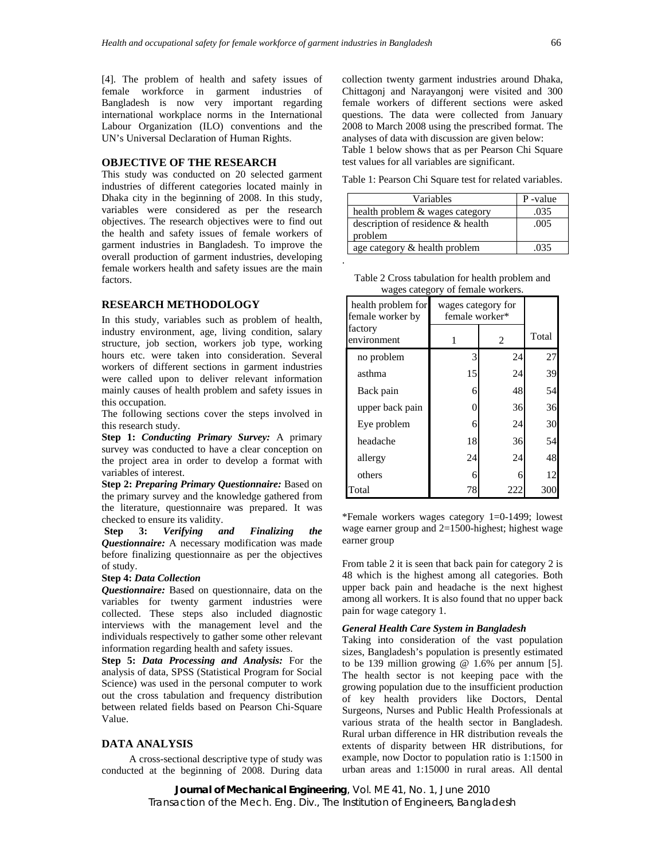[4]. The problem of health and safety issues of female workforce in garment industries of Bangladesh is now very important regarding international workplace norms in the International Labour Organization (ILO) conventions and the UN's Universal Declaration of Human Rights.

### **OBJECTIVE OF THE RESEARCH**

This study was conducted on 20 selected garment industries of different categories located mainly in Dhaka city in the beginning of 2008. In this study, variables were considered as per the research objectives. The research objectives were to find out the health and safety issues of female workers of garment industries in Bangladesh. To improve the overall production of garment industries, developing female workers health and safety issues are the main factors.

### **RESEARCH METHODOLOGY**

In this study, variables such as problem of health, industry environment, age, living condition, salary structure, job section, workers job type, working hours etc. were taken into consideration. Several workers of different sections in garment industries were called upon to deliver relevant information mainly causes of health problem and safety issues in this occupation.

The following sections cover the steps involved in this research study.

**Step 1:** *Conducting Primary Survey:* A primary survey was conducted to have a clear conception on the project area in order to develop a format with variables of interest.

**Step 2:** *Preparing Primary Questionnaire:* Based on the primary survey and the knowledge gathered from the literature, questionnaire was prepared. It was checked to ensure its validity.

 **Step 3:** *Verifying and Finalizing the Questionnaire:* A necessary modification was made before finalizing questionnaire as per the objectives of study.

#### **Step 4:** *Data Collection*

*Questionnaire:* Based on questionnaire, data on the variables for twenty garment industries were collected. These steps also included diagnostic interviews with the management level and the individuals respectively to gather some other relevant information regarding health and safety issues.

**Step 5:** *Data Processing and Analysis:* For the analysis of data, SPSS (Statistical Program for Social Science) was used in the personal computer to work out the cross tabulation and frequency distribution between related fields based on Pearson Chi-Square Value.

#### **DATA ANALYSIS**

 A cross-sectional descriptive type of study was conducted at the beginning of 2008. During data collection twenty garment industries around Dhaka, Chittagonj and Narayangonj were visited and 300 female workers of different sections were asked questions. The data were collected from January 2008 to March 2008 using the prescribed format. The analyses of data with discussion are given below: Table 1 below shows that as per Pearson Chi Square test values for all variables are significant.

Table 1: Pearson Chi Square test for related variables.

| Variables                         | P-value |
|-----------------------------------|---------|
| health problem & wages category   | .035    |
| description of residence & health | .005    |
| problem                           |         |
| age category & health problem     | 035     |

| Table 2 Cross tabulation for health problem and |  |
|-------------------------------------------------|--|
| wages category of female workers.               |  |

.

| health problem for<br>female worker by | wages category for<br>female worker* |     |       |
|----------------------------------------|--------------------------------------|-----|-------|
| factory<br>environment                 |                                      | 2   | Total |
| no problem                             | 3                                    | 24  | 27    |
| asthma                                 | 15                                   | 24  | 39    |
| Back pain                              | 6                                    | 48  | 54    |
| upper back pain                        | 0                                    | 36  | 36    |
| Eye problem                            | 6                                    | 24  | 30    |
| headache                               | 18                                   | 36  | 54    |
| allergy                                | 24                                   | 24  | 48    |
| others                                 | 6                                    | 6   | 12    |
| Total                                  | 78                                   | 222 |       |

\*Female workers wages category 1=0-1499; lowest wage earner group and  $2=1500$ -highest; highest wage earner group

From table 2 it is seen that back pain for category 2 is 48 which is the highest among all categories. Both upper back pain and headache is the next highest among all workers. It is also found that no upper back pain for wage category 1.

#### *General Health Care System in Bangladesh*

Taking into consideration of the vast population sizes, Bangladesh's population is presently estimated to be 139 million growing  $@$  1.6% per annum [5]. The health sector is not keeping pace with the growing population due to the insufficient production of key health providers like Doctors, Dental Surgeons, Nurses and Public Health Professionals at various strata of the health sector in Bangladesh. Rural urban difference in HR distribution reveals the extents of disparity between HR distributions, for example, now Doctor to population ratio is 1:1500 in urban areas and 1:15000 in rural areas. All dental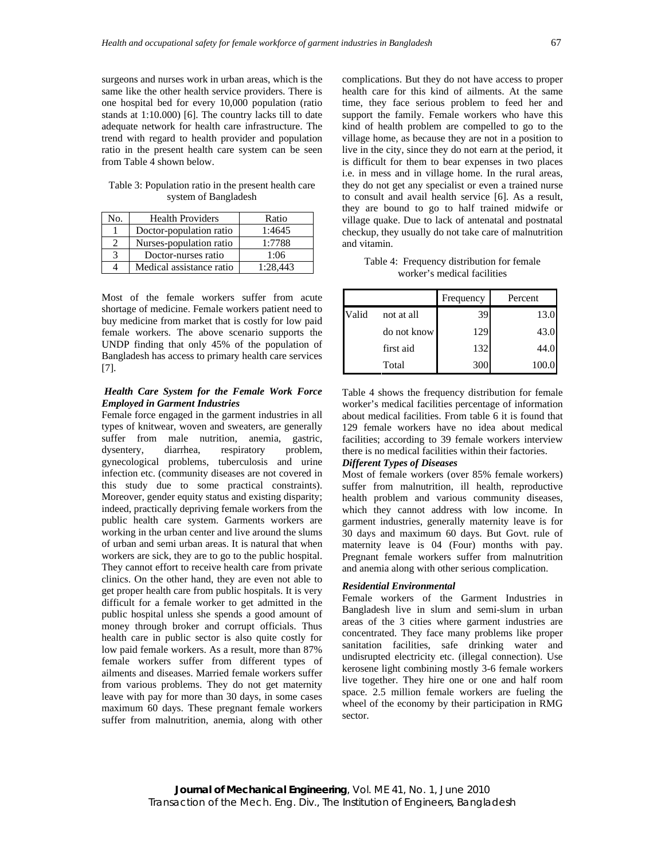surgeons and nurses work in urban areas, which is the same like the other health service providers. There is one hospital bed for every 10,000 population (ratio stands at 1:10.000) [6]. The country lacks till to date adequate network for health care infrastructure. The trend with regard to health provider and population ratio in the present health care system can be seen from Table 4 shown below.

Table 3: Population ratio in the present health care system of Bangladesh

| No. | <b>Health Providers</b>  | Ratio    |
|-----|--------------------------|----------|
|     | Doctor-population ratio  | 1:4645   |
|     | Nurses-population ratio  | 1:7788   |
| 3   | Doctor-nurses ratio      | 1:06     |
|     | Medical assistance ratio | 1:28.443 |

Most of the female workers suffer from acute shortage of medicine. Female workers patient need to buy medicine from market that is costly for low paid female workers. The above scenario supports the UNDP finding that only 45% of the population of Bangladesh has access to primary health care services [7].

### *Health Care System for the Female Work Force Employed in Garment Industries*

Female force engaged in the garment industries in all types of knitwear, woven and sweaters, are generally suffer from male nutrition, anemia, gastric, dysentery, diarrhea, respiratory problem, gynecological problems, tuberculosis and urine infection etc. (community diseases are not covered in this study due to some practical constraints). Moreover, gender equity status and existing disparity; indeed, practically depriving female workers from the public health care system. Garments workers are working in the urban center and live around the slums of urban and semi urban areas. It is natural that when workers are sick, they are to go to the public hospital. They cannot effort to receive health care from private clinics. On the other hand, they are even not able to get proper health care from public hospitals. It is very difficult for a female worker to get admitted in the public hospital unless she spends a good amount of money through broker and corrupt officials. Thus health care in public sector is also quite costly for low paid female workers. As a result, more than 87% female workers suffer from different types of ailments and diseases. Married female workers suffer from various problems. They do not get maternity leave with pay for more than 30 days, in some cases maximum 60 days. These pregnant female workers suffer from malnutrition, anemia, along with other complications. But they do not have access to proper health care for this kind of ailments. At the same time, they face serious problem to feed her and support the family. Female workers who have this kind of health problem are compelled to go to the village home, as because they are not in a position to live in the city, since they do not earn at the period, it is difficult for them to bear expenses in two places i.e. in mess and in village home. In the rural areas, they do not get any specialist or even a trained nurse to consult and avail health service [6]. As a result, they are bound to go to half trained midwife or village quake. Due to lack of antenatal and postnatal checkup, they usually do not take care of malnutrition and vitamin.

Table 4: Frequency distribution for female worker's medical facilities

|       |             | Frequency | Percent |
|-------|-------------|-----------|---------|
| Valid | not at all  | 39        | 13.0    |
|       | do not know | 129       | 43.0    |
|       | first aid   | 132       | 44.0    |
|       | Total       | 300       | 100.0   |

Table 4 shows the frequency distribution for female worker's medical facilities percentage of information about medical facilities. From table 6 it is found that 129 female workers have no idea about medical facilities; according to 39 female workers interview there is no medical facilities within their factories.

# *Different Types of Diseases*

Most of female workers (over 85% female workers) suffer from malnutrition, ill health, reproductive health problem and various community diseases, which they cannot address with low income. In garment industries, generally maternity leave is for 30 days and maximum 60 days. But Govt. rule of maternity leave is 04 (Four) months with pay. Pregnant female workers suffer from malnutrition and anemia along with other serious complication.

#### *Residential Environmental*

Female workers of the Garment Industries in Bangladesh live in slum and semi-slum in urban areas of the 3 cities where garment industries are concentrated. They face many problems like proper sanitation facilities, safe drinking water and undisrupted electricity etc. (illegal connection). Use kerosene light combining mostly 3-6 female workers live together. They hire one or one and half room space. 2.5 million female workers are fueling the wheel of the economy by their participation in RMG sector.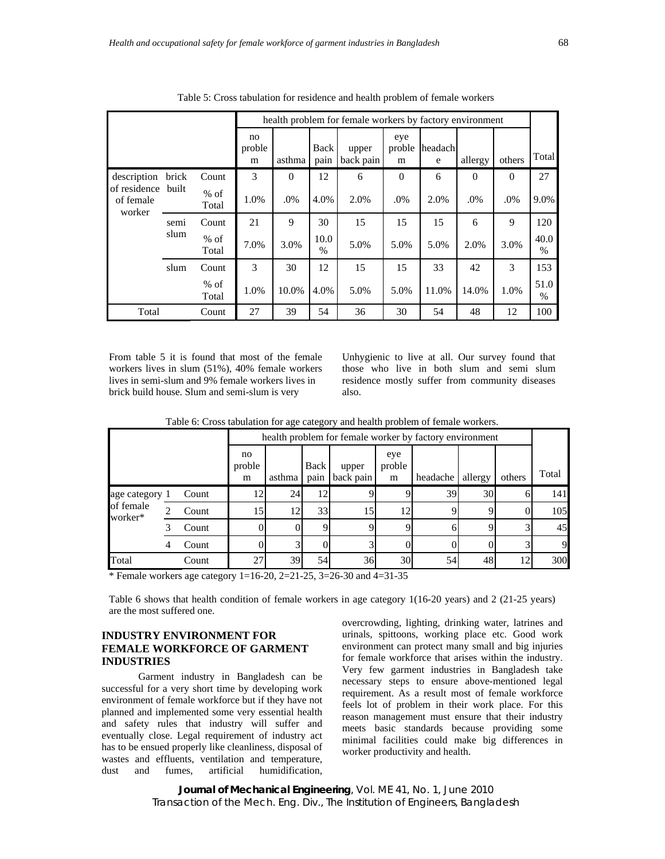|                                     |       |                 |                   | health problem for female workers by factory environment |                       |                    |                    |              |          |          |                       |
|-------------------------------------|-------|-----------------|-------------------|----------------------------------------------------------|-----------------------|--------------------|--------------------|--------------|----------|----------|-----------------------|
|                                     |       |                 | no<br>proble<br>m | asthma                                                   | Back<br>pain          | upper<br>back pain | eye<br>proble<br>m | headach<br>e | allergy  | others   | Total                 |
| description                         | brick | Count           | 3                 | $\Omega$                                                 | 12                    | 6                  | $\Omega$           | 6            | $\Omega$ | $\Omega$ | 27                    |
| of residence<br>of female<br>worker | built | $%$ of<br>Total | 1.0%              | .0%                                                      | 4.0%                  | 2.0%               | .0%                | 2.0%         | .0%      | .0%      | 9.0%                  |
|                                     | semi  | Count           | 21                | 9                                                        | 30                    | 15                 | 15                 | 15           | 6        | 9        | 120                   |
|                                     | slum  | $%$ of<br>Total | 7.0%              | 3.0%                                                     | 10.0<br>$\frac{0}{0}$ | 5.0%               | 5.0%               | 5.0%         | 2.0%     | 3.0%     | 40.0<br>$\%$          |
|                                     | slum  | Count           | 3                 | 30                                                       | 12                    | 15                 | 15                 | 33           | 42       | 3        | 153                   |
|                                     |       | $%$ of<br>Total | 1.0%              | 10.0%                                                    | 4.0%                  | 5.0%               | 5.0%               | 11.0%        | 14.0%    | 1.0%     | 51.0<br>$\frac{0}{0}$ |
| Total                               |       | Count           | 27                | 39                                                       | 54                    | 36                 | 30                 | 54           | 48       | 12       | 100                   |

Table 5: Cross tabulation for residence and health problem of female workers

From table 5 it is found that most of the female workers lives in slum (51%), 40% female workers lives in semi-slum and 9% female workers lives in brick build house. Slum and semi-slum is very

Unhygienic to live at all. Our survey found that those who live in both slum and semi slum residence mostly suffer from community diseases also.

Table 6: Cross tabulation for age category and health problem of female workers.

|                      |   |       |                   | health problem for female worker by factory environment |              |                    |                    |          |                 |        |       |
|----------------------|---|-------|-------------------|---------------------------------------------------------|--------------|--------------------|--------------------|----------|-----------------|--------|-------|
|                      |   |       | no<br>proble<br>m | asthma                                                  | Back<br>pain | upper<br>back pain | eye<br>proble<br>m | headache | allergy         | others | Total |
| age category 1       |   | Count | 12                | 24                                                      | 12           |                    |                    | 39       | 30 <sup>I</sup> | 6      | 141   |
| of female<br>worker* |   | Count | 15                | 12                                                      | 33           | 15                 | 12                 | Q        | Q               | 0      | 105   |
|                      |   | Count |                   |                                                         | $\Omega$     |                    |                    | h.       |                 |        | 45    |
|                      | 4 | Count |                   |                                                         |              |                    |                    |          |                 |        | 9     |
| Total                |   | Count | 27                | 39                                                      | 54           | 36                 | 30                 | 54       | 48              | 12     | 300   |

\* Female workers age category  $1=16-20$ ,  $2=21-25$ ,  $3=26-30$  and  $4=31-35$ 

Table 6 shows that health condition of female workers in age category 1(16-20 years) and 2 (21-25 years) are the most suffered one.

### **INDUSTRY ENVIRONMENT FOR FEMALE WORKFORCE OF GARMENT INDUSTRIES**

Garment industry in Bangladesh can be successful for a very short time by developing work environment of female workforce but if they have not planned and implemented some very essential health and safety rules that industry will suffer and eventually close. Legal requirement of industry act has to be ensued properly like cleanliness, disposal of wastes and effluents, ventilation and temperature, dust and fumes, artificial humidification, overcrowding, lighting, drinking water, latrines and urinals, spittoons, working place etc. Good work environment can protect many small and big injuries for female workforce that arises within the industry. Very few garment industries in Bangladesh take necessary steps to ensure above-mentioned legal requirement. As a result most of female workforce feels lot of problem in their work place. For this reason management must ensure that their industry meets basic standards because providing some minimal facilities could make big differences in worker productivity and health.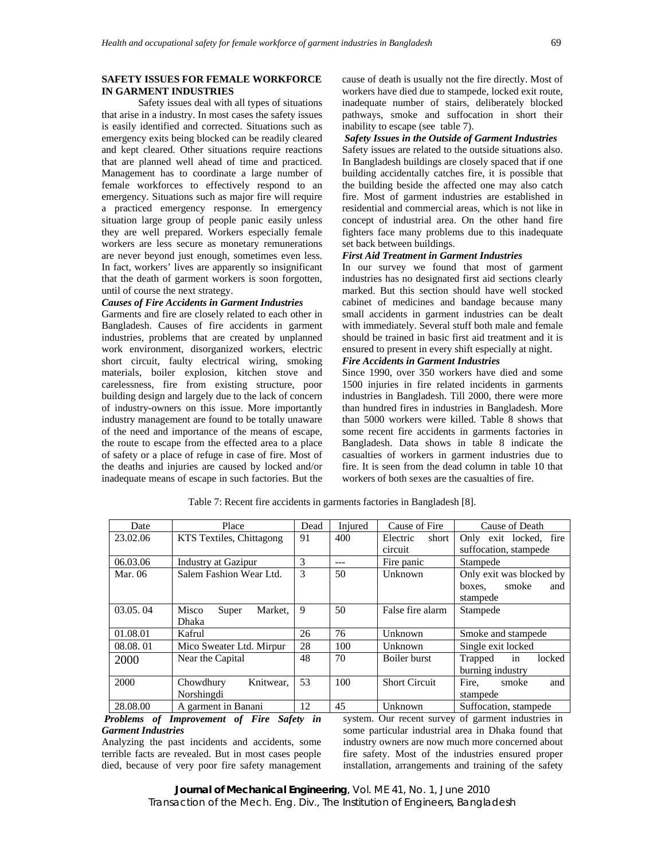### **SAFETY ISSUES FOR FEMALE WORKFORCE IN GARMENT INDUSTRIES**

Safety issues deal with all types of situations that arise in a industry. In most cases the safety issues is easily identified and corrected. Situations such as emergency exits being blocked can be readily cleared and kept cleared. Other situations require reactions that are planned well ahead of time and practiced. Management has to coordinate a large number of female workforces to effectively respond to an emergency. Situations such as major fire will require a practiced emergency response. In emergency situation large group of people panic easily unless they are well prepared. Workers especially female workers are less secure as monetary remunerations are never beyond just enough, sometimes even less. In fact, workers' lives are apparently so insignificant that the death of garment workers is soon forgotten, until of course the next strategy.

### *Causes of Fire Accidents in Garment Industries*

Garments and fire are closely related to each other in Bangladesh. Causes of fire accidents in garment industries, problems that are created by unplanned work environment, disorganized workers, electric short circuit, faulty electrical wiring, smoking materials, boiler explosion, kitchen stove and carelessness, fire from existing structure, poor building design and largely due to the lack of concern of industry-owners on this issue. More importantly industry management are found to be totally unaware of the need and importance of the means of escape, the route to escape from the effected area to a place of safety or a place of refuge in case of fire. Most of the deaths and injuries are caused by locked and/or inadequate means of escape in such factories. But the

cause of death is usually not the fire directly. Most of workers have died due to stampede, locked exit route, inadequate number of stairs, deliberately blocked pathways, smoke and suffocation in short their inability to escape (see table 7).

### *Safety Issues in the Outside of Garment Industries*

Safety issues are related to the outside situations also. In Bangladesh buildings are closely spaced that if one building accidentally catches fire, it is possible that the building beside the affected one may also catch fire. Most of garment industries are established in residential and commercial areas, which is not like in concept of industrial area. On the other hand fire fighters face many problems due to this inadequate set back between buildings.

### *First Aid Treatment in Garment Industries*

In our survey we found that most of garment industries has no designated first aid sections clearly marked. But this section should have well stocked cabinet of medicines and bandage because many small accidents in garment industries can be dealt with immediately. Several stuff both male and female should be trained in basic first aid treatment and it is ensured to present in every shift especially at night.

### *Fire Accidents in Garment Industries*

Since 1990, over 350 workers have died and some 1500 injuries in fire related incidents in garments industries in Bangladesh. Till 2000, there were more than hundred fires in industries in Bangladesh. More than 5000 workers were killed. Table 8 shows that some recent fire accidents in garments factories in Bangladesh. Data shows in table 8 indicate the casualties of workers in garment industries due to fire. It is seen from the dead column in table 10 that workers of both sexes are the casualties of fire.

| Date     | Place                     | Dead | Injured | Cause of Fire        | Cause of Death           |
|----------|---------------------------|------|---------|----------------------|--------------------------|
| 23.02.06 | KTS Textiles, Chittagong  | 91   | 400     | Electric<br>short    | Only exit locked, fire   |
|          |                           |      |         | circuit              | suffocation, stampede    |
| 06.03.06 | Industry at Gazipur       | 3    | ---     | Fire panic           | Stampede                 |
| Mar. 06  | Salem Fashion Wear Ltd.   | 3    | 50      | Unknown              | Only exit was blocked by |
|          |                           |      |         |                      | smoke<br>boxes,<br>and   |
|          |                           |      |         |                      | stampede                 |
| 03.05.04 | Market,<br>Misco<br>Super | 9    | 50      | False fire alarm     | Stampede                 |
|          | Dhaka                     |      |         |                      |                          |
| 01.08.01 | Kafrul                    | 26   | 76      | Unknown              | Smoke and stampede       |
| 08.08.01 | Mico Sweater Ltd. Mirpur  | 28   | 100     | Unknown              | Single exit locked       |
| 2000     | Near the Capital          | 48   | 70      | Boiler burst         | Trapped in<br>locked     |
|          |                           |      |         |                      | burning industry         |
| 2000     | Knitwear.<br>Chowdhury    | 53   | 100     | <b>Short Circuit</b> | Fire,<br>smoke<br>and    |
|          | Norshingdi                |      |         |                      | stampede                 |
| 28.08.00 | A garment in Banani       | 12   | 45      | Unknown              | Suffocation, stampede    |

Table 7: Recent fire accidents in garments factories in Bangladesh [8].

 *Problems of Improvement of Fire Safety in Garment Industries* 

Analyzing the past incidents and accidents, some terrible facts are revealed. But in most cases people died, because of very poor fire safety management system. Our recent survey of garment industries in some particular industrial area in Dhaka found that industry owners are now much more concerned about fire safety. Most of the industries ensured proper installation, arrangements and training of the safety